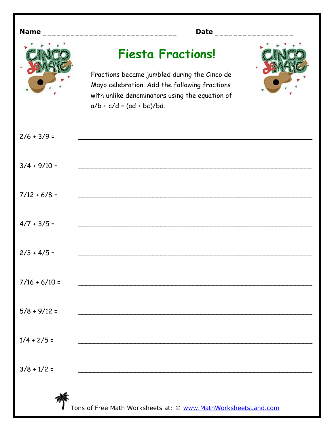| Name            | Date _________                                                                                                                                                                                             |
|-----------------|------------------------------------------------------------------------------------------------------------------------------------------------------------------------------------------------------------|
|                 | <b>Fiesta Fractions!</b><br>Fractions became jumbled during the Cinco de<br>Mayo celebration. Add the following fractions<br>with unlike denominators using the equation of<br>$a/b + c/d = (ad + bc)/bd.$ |
| $2/6 + 3/9 =$   |                                                                                                                                                                                                            |
| $3/4 + 9/10 =$  |                                                                                                                                                                                                            |
| $7/12 + 6/8 =$  |                                                                                                                                                                                                            |
| $4/7 + 3/5 =$   |                                                                                                                                                                                                            |
| $2/3 + 4/5 =$   |                                                                                                                                                                                                            |
| $7/16 + 6/10 =$ |                                                                                                                                                                                                            |
| $5/8 + 9/12 =$  |                                                                                                                                                                                                            |
| $1/4 + 2/5 =$   | <u> 1989 - Johann Barbara, margaret eta idazlearia (h. 1989).</u>                                                                                                                                          |
| $3/8 + 1/2 =$   |                                                                                                                                                                                                            |
|                 | Tons of Free Math Worksheets at: © www.MathWorksheetsLand.com                                                                                                                                              |